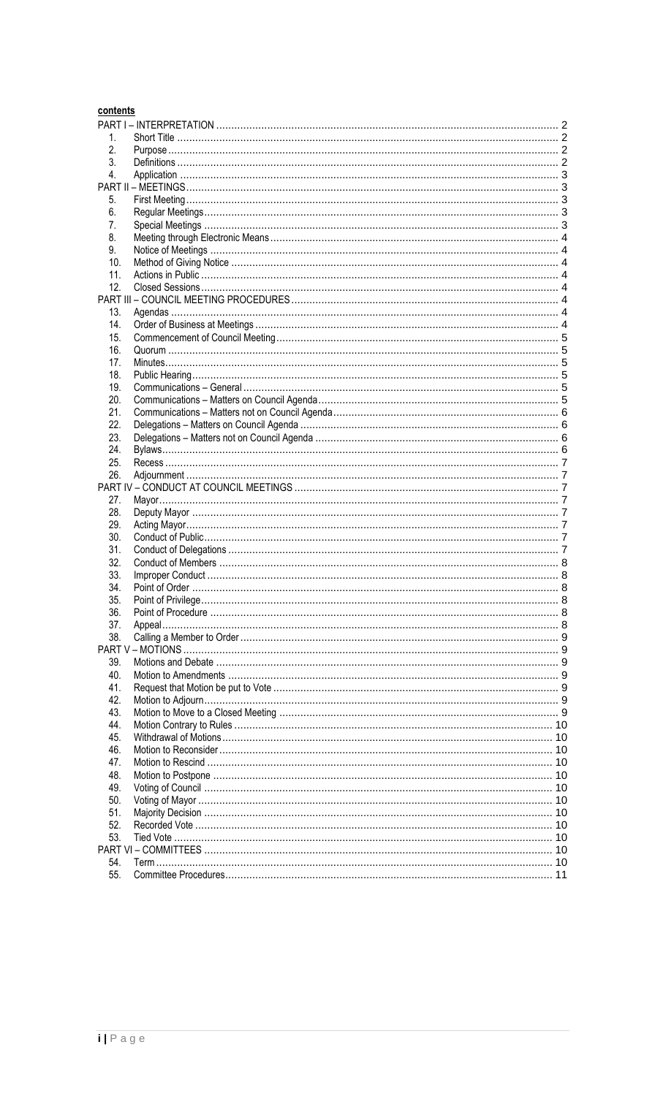| contents |  |
|----------|--|
|          |  |
| 1.       |  |
| 2.       |  |
| 3.       |  |
| 4.       |  |
|          |  |
| 5.       |  |
| 6.       |  |
| 7.       |  |
| 8.       |  |
| 9.       |  |
| 10.      |  |
| 11.      |  |
| 12.      |  |
|          |  |
| 13.      |  |
| 14.      |  |
|          |  |
| 15.      |  |
| 16.      |  |
| 17.      |  |
| 18.      |  |
| 19.      |  |
| 20.      |  |
| 21.      |  |
| 22.      |  |
| 23.      |  |
| 24.      |  |
| 25.      |  |
| 26.      |  |
|          |  |
| 27.      |  |
| 28.      |  |
| 29.      |  |
| 30.      |  |
| 31.      |  |
| 32.      |  |
| 33.      |  |
| 34.      |  |
| 35.      |  |
| 36.      |  |
| 37.      |  |
| 38.      |  |
|          |  |
| 39.      |  |
| 40.      |  |
| 41.      |  |
| 42.      |  |
| 43.      |  |
| 44.      |  |
| 45.      |  |
| 46.      |  |
| 47.      |  |
| 48.      |  |
| 49.      |  |
| 50.      |  |
| 51.      |  |
| 52.      |  |
| 53.      |  |
|          |  |
| 54.      |  |
| 55.      |  |
|          |  |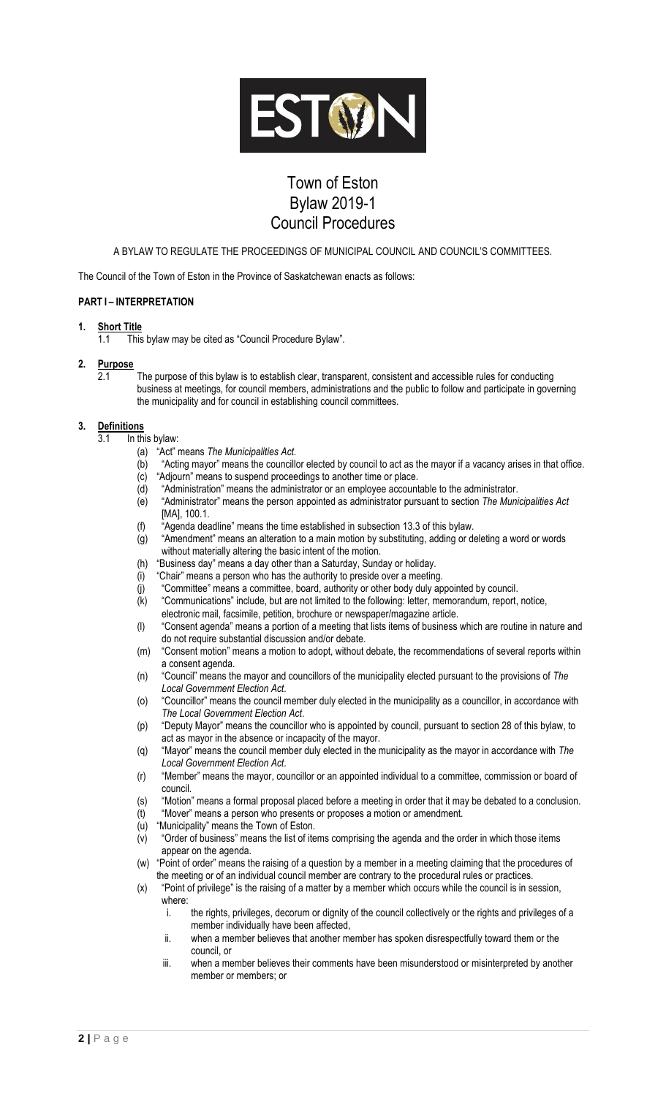

## Town of Eston Bylaw 2019-1 Council Procedures

A BYLAW TO REGULATE THE PROCEEDINGS OF MUNICIPAL COUNCIL AND COUNCIL'S COMMITTEES.

The Council of the Town of Eston in the Province of Saskatchewan enacts as follows:

## <span id="page-1-0"></span>**PART I – INTERPRETATION**

#### <span id="page-1-1"></span>**1. Short Title**

1.1 This bylaw may be cited as "Council Procedure Bylaw".

- <span id="page-1-2"></span>**2. Purpose**
	- $\overline{2.1}$  The purpose of this bylaw is to establish clear, transparent, consistent and accessible rules for conducting business at meetings, for council members, administrations and the public to follow and participate in governing the municipality and for council in establishing council committees.

#### <span id="page-1-3"></span>**3. Definitions**

- 3.1 In this bylaw:
	- (a) "Act" means *The Municipalities Act.*
	- (b) "Acting mayor" means the councillor elected by council to act as the mayor if a vacancy arises in that office. (c) "Adjourn" means to suspend proceedings to another time or place.
	-
	- (d) "Administration" means the administrator or an employee accountable to the administrator.<br>(e) "Administrator" means the person appointed as administrator pursuant to section The Muni "Administrator" means the person appointed as administrator pursuant to section *The Municipalities Act* [MA], 100.1.
	- (f) "Agenda deadline" means the time established in subsection 13.3 of this bylaw.
	- (g) "Amendment" means an alteration to a main motion by substituting, adding or deleting a word or words without materially altering the basic intent of the motion.
	- (h) "Business day" means a day other than a Saturday, Sunday or holiday.
	- (i) "Chair" means a person who has the authority to preside over a meeting.
	- (j) "Committee" means a committee, board, authority or other body duly appointed by council.
	- (k) "Communications" include, but are not limited to the following: letter, memorandum, report, notice,
	- electronic mail, facsimile, petition, brochure or newspaper/magazine article.
	- (l) "Consent agenda" means a portion of a meeting that lists items of business which are routine in nature and do not require substantial discussion and/or debate.
	- (m) "Consent motion" means a motion to adopt, without debate, the recommendations of several reports within a consent agenda.
	- (n) "Council" means the mayor and councillors of the municipality elected pursuant to the provisions of *The Local Government Election Act*.
	- (o) "Councillor" means the council member duly elected in the municipality as a councillor, in accordance with *The Local Government Election Act*.
	- (p) "Deputy Mayor" means the councillor who is appointed by council, pursuant to section 28 of this bylaw, to act as mayor in the absence or incapacity of the mayor.
	- (q) "Mayor" means the council member duly elected in the municipality as the mayor in accordance with *The Local Government Election Act*.
	- (r) "Member" means the mayor, councillor or an appointed individual to a committee, commission or board of council.
	- (s) "Motion" means a formal proposal placed before a meeting in order that it may be debated to a conclusion.
	- (t) "Mover" means a person who presents or proposes a motion or amendment.
	- (u) "Municipality" means the Town of Eston.
	- (v) "Order of business" means the list of items comprising the agenda and the order in which those items appear on the agenda.

(w) "Point of order" means the raising of a question by a member in a meeting claiming that the procedures of the meeting or of an individual council member are contrary to the procedural rules or practices.

- (x) "Point of privilege" is the raising of a matter by a member which occurs while the council is in session, where:
	- i. the rights, privileges, decorum or dignity of the council collectively or the rights and privileges of a member individually have been affected,
	- ii. when a member believes that another member has spoken disrespectfully toward them or the council, or
	- iii. when a member believes their comments have been misunderstood or misinterpreted by another member or members; or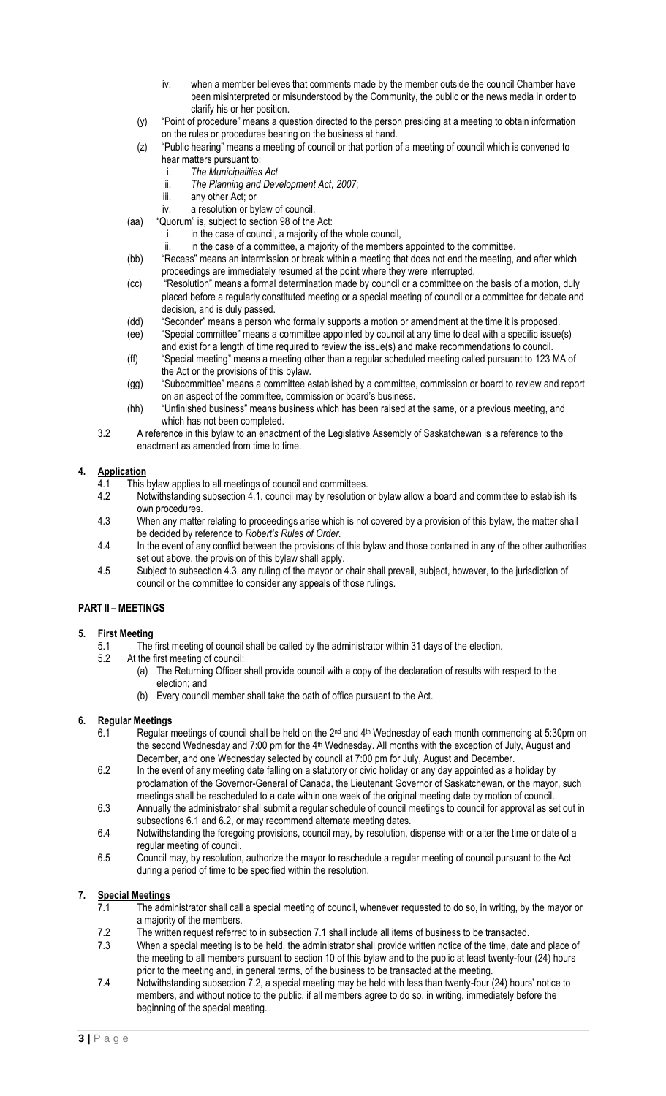- iv. when a member believes that comments made by the member outside the council Chamber have been misinterpreted or misunderstood by the Community, the public or the news media in order to clarify his or her position.
- (y) "Point of procedure" means a question directed to the person presiding at a meeting to obtain information on the rules or procedures bearing on the business at hand.
- (z) "Public hearing" means a meeting of council or that portion of a meeting of council which is convened to hear matters pursuant to:
	- i. *The Municipalities Act*
	- ii. *The Planning and Development Act, 2007*;
	- iii. any other Act; or
- iv. a resolution or bylaw of council.
- (aa) "Quorum" is, subject to section 98 of the Act:
	- i. in the case of council, a majority of the whole council,
	- ii. in the case of a committee, a majority of the members appointed to the committee.
- (bb) "Recess" means an intermission or break within a meeting that does not end the meeting, and after which proceedings are immediately resumed at the point where they were interrupted.
- (cc) "Resolution" means a formal determination made by council or a committee on the basis of a motion, duly placed before a regularly constituted meeting or a special meeting of council or a committee for debate and decision, and is duly passed.
- (dd) "Seconder" means a person who formally supports a motion or amendment at the time it is proposed.
- (ee) "Special committee" means a committee appointed by council at any time to deal with a specific issue(s)
- and exist for a length of time required to review the issue(s) and make recommendations to council. (ff) "Special meeting" means a meeting other than a regular scheduled meeting called pursuant to 123 MA of the Act or the provisions of this bylaw.
- (gg) "Subcommittee" means a committee established by a committee, commission or board to review and report on an aspect of the committee, commission or board's business.
- (hh) "Unfinished business" means business which has been raised at the same, or a previous meeting, and which has not been completed.
- 3.2 A reference in this bylaw to an enactment of the Legislative Assembly of Saskatchewan is a reference to the enactment as amended from time to time.

#### <span id="page-2-0"></span>**4. Application**

- 4.1 This bylaw applies to all meetings of council and committees.
- 4.2 Notwithstanding subsection 4.1, council may by resolution or bylaw allow a board and committee to establish its own procedures.
- 4.3 When any matter relating to proceedings arise which is not covered by a provision of this bylaw, the matter shall be decided by reference to *Robert's Rules of Order.*
- 4.4 In the event of any conflict between the provisions of this bylaw and those contained in any of the other authorities set out above, the provision of this bylaw shall apply.
- 4.5 Subject to subsection 4.3, any ruling of the mayor or chair shall prevail, subject, however, to the jurisdiction of council or the committee to consider any appeals of those rulings.

## <span id="page-2-1"></span>**PART II – MEETINGS**

## <span id="page-2-2"></span>**5. First Meeting**

- 5.1 The first meeting of council shall be called by the administrator within 31 days of the election.<br>5.2 At the first meeting of council:
	- At the first meeting of council:
		- (a) The Returning Officer shall provide council with a copy of the declaration of results with respect to the election; and
		- (b) Every council member shall take the oath of office pursuant to the Act.

## <span id="page-2-3"></span>**6. Regular Meetings**

- 6.1 Regular meetings of council shall be held on the  $2<sup>nd</sup>$  and  $4<sup>th</sup>$  Wednesday of each month commencing at 5:30pm on the second Wednesday and 7:00 pm for the 4th Wednesday. All months with the exception of July, August and December, and one Wednesday selected by council at 7:00 pm for July, August and December.
- 6.2 In the event of any meeting date falling on a statutory or civic holiday or any day appointed as a holiday by proclamation of the Governor-General of Canada, the Lieutenant Governor of Saskatchewan, or the mayor, such meetings shall be rescheduled to a date within one week of the original meeting date by motion of council.
- 6.3 Annually the administrator shall submit a regular schedule of council meetings to council for approval as set out in subsections 6.1 and 6.2, or may recommend alternate meeting dates.
- 6.4 Notwithstanding the foregoing provisions, council may, by resolution, dispense with or alter the time or date of a regular meeting of council.
- 6.5 Council may, by resolution, authorize the mayor to reschedule a regular meeting of council pursuant to the Act during a period of time to be specified within the resolution.

## <span id="page-2-4"></span>**7. Special Meetings**

- 7.1 The administrator shall call a special meeting of council, whenever requested to do so, in writing, by the mayor or a majority of the members.
- 7.2 The written request referred to in subsection 7.1 shall include all items of business to be transacted.
- 7.3 When a special meeting is to be held, the administrator shall provide written notice of the time, date and place of the meeting to all members pursuant to section 10 of this bylaw and to the public at least twenty-four (24) hours prior to the meeting and, in general terms, of the business to be transacted at the meeting.
- 7.4 Notwithstanding subsection 7.2, a special meeting may be held with less than twenty-four (24) hours' notice to members, and without notice to the public, if all members agree to do so, in writing, immediately before the beginning of the special meeting.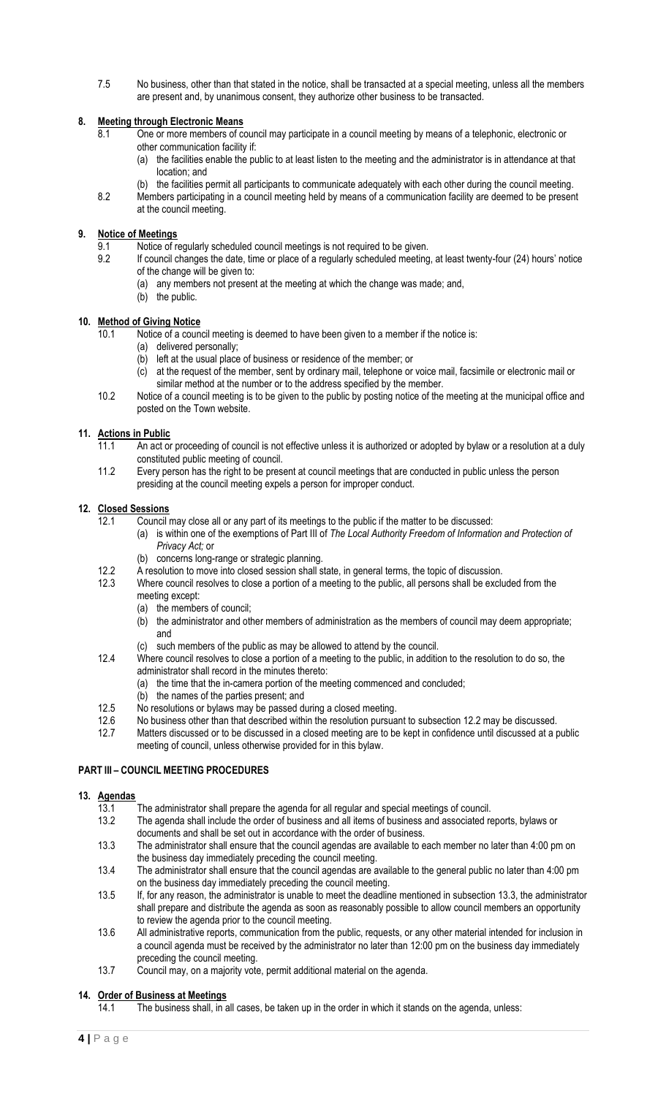7.5 No business, other than that stated in the notice, shall be transacted at a special meeting, unless all the members are present and, by unanimous consent, they authorize other business to be transacted.

## <span id="page-3-0"></span>**8. Meeting through Electronic Means**

- 8.1 One or more members of council may participate in a council meeting by means of a telephonic, electronic or other communication facility if:
	- (a) the facilities enable the public to at least listen to the meeting and the administrator is in attendance at that location; and
	- (b) the facilities permit all participants to communicate adequately with each other during the council meeting.
- 8.2 Members participating in a council meeting held by means of a communication facility are deemed to be present at the council meeting.

## <span id="page-3-1"></span>**9. Notice of Meetings**

- 9.1 Notice of regularly scheduled council meetings is not required to be given.
- 9.2 If council changes the date, time or place of a regularly scheduled meeting, at least twenty-four (24) hours' notice of the change will be given to:
	- (a) any members not present at the meeting at which the change was made; and,
	- (b) the public.

#### <span id="page-3-2"></span>**10. Method of Giving Notice**

- 10.1 Notice of a council meeting is deemed to have been given to a member if the notice is:
	- (a) delivered personally;
		- (b) left at the usual place of business or residence of the member; or
		- (c) at the request of the member, sent by ordinary mail, telephone or voice mail, facsimile or electronic mail or similar method at the number or to the address specified by the member.
- 10.2 Notice of a council meeting is to be given to the public by posting notice of the meeting at the municipal office and posted on the Town website.

## <span id="page-3-3"></span>**11. Actions in Public**

- 11.1 An act or proceeding of council is not effective unless it is authorized or adopted by bylaw or a resolution at a duly constituted public meeting of council.
- 11.2 Every person has the right to be present at council meetings that are conducted in public unless the person presiding at the council meeting expels a person for improper conduct.

#### <span id="page-3-4"></span>**12. Closed Sessions**

- 12.1 Council may close all or any part of its meetings to the public if the matter to be discussed:
	- (a) is within one of the exemptions of Part III of *The Local Authority Freedom of Information and Protection of Privacy Act;* or
	- (b) concerns long-range or strategic planning.
- 12.2 A resolution to move into closed session shall state, in general terms, the topic of discussion.
- 12.3 Where council resolves to close a portion of a meeting to the public, all persons shall be excluded from the meeting except:
	- (a) the members of council;
	- (b) the administrator and other members of administration as the members of council may deem appropriate; and
	- such members of the public as may be allowed to attend by the council.
- 12.4 Where council resolves to close a portion of a meeting to the public, in addition to the resolution to do so, the administrator shall record in the minutes thereto:
	- (a) the time that the in-camera portion of the meeting commenced and concluded;
		- (b) the names of the parties present; and
- 12.5 No resolutions or bylaws may be passed during a closed meeting.
- 12.6 No business other than that described within the resolution pursuant to subsection 12.2 may be discussed.
- 12.7 Matters discussed or to be discussed in a closed meeting are to be kept in confidence until discussed at a public meeting of council, unless otherwise provided for in this bylaw.

## <span id="page-3-5"></span>**PART III – COUNCIL MEETING PROCEDURES**

## <span id="page-3-6"></span>**13. Agendas**

- 13.1 The administrator shall prepare the agenda for all regular and special meetings of council.
- 13.2 The agenda shall include the order of business and all items of business and associated reports, bylaws or documents and shall be set out in accordance with the order of business.
- 13.3 The administrator shall ensure that the council agendas are available to each member no later than 4:00 pm on the business day immediately preceding the council meeting.
- 13.4 The administrator shall ensure that the council agendas are available to the general public no later than 4:00 pm on the business day immediately preceding the council meeting.
- 13.5 If, for any reason, the administrator is unable to meet the deadline mentioned in subsection 13.3, the administrator shall prepare and distribute the agenda as soon as reasonably possible to allow council members an opportunity to review the agenda prior to the council meeting.
- 13.6 All administrative reports, communication from the public, requests, or any other material intended for inclusion in a council agenda must be received by the administrator no later than 12:00 pm on the business day immediately preceding the council meeting.
- 13.7 Council may, on a majority vote, permit additional material on the agenda.

## <span id="page-3-7"></span>**14. Order of Business at Meetings**

14.1 The business shall, in all cases, be taken up in the order in which it stands on the agenda, unless: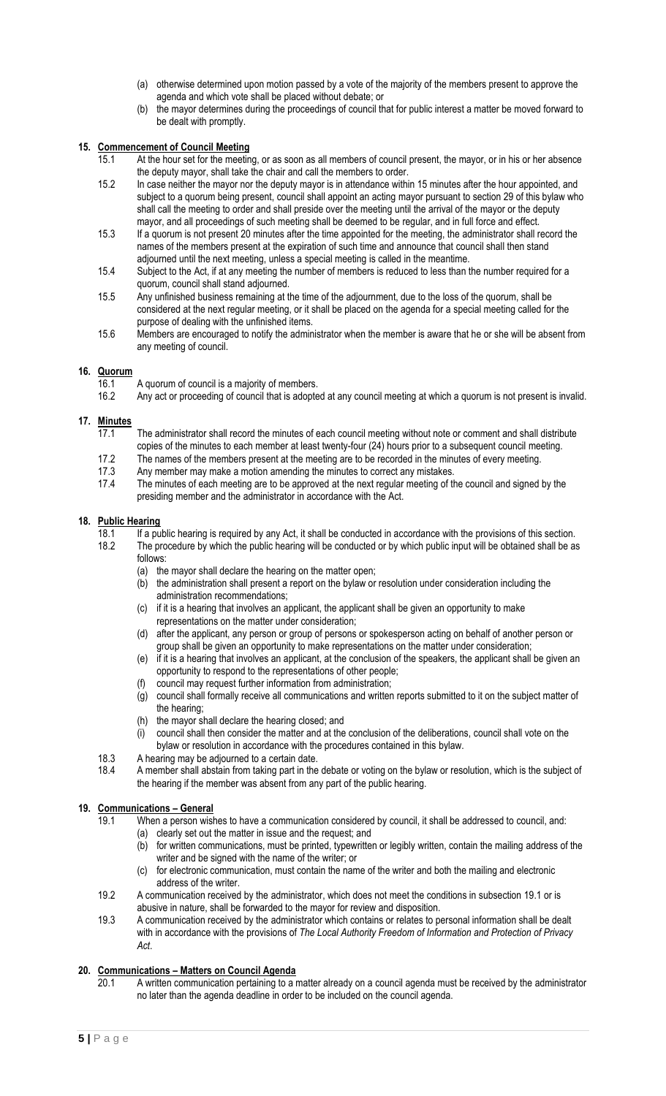- (a) otherwise determined upon motion passed by a vote of the majority of the members present to approve the agenda and which vote shall be placed without debate; or
- (b) the mayor determines during the proceedings of council that for public interest a matter be moved forward to be dealt with promptly.

### <span id="page-4-0"></span>**15. Commencement of Council Meeting**

- 15.1 At the hour set for the meeting, or as soon as all members of council present, the mayor, or in his or her absence the deputy mayor, shall take the chair and call the members to order.
- 15.2 In case neither the mayor nor the deputy mayor is in attendance within 15 minutes after the hour appointed, and subject to a quorum being present, council shall appoint an acting mayor pursuant to section 29 of this bylaw who shall call the meeting to order and shall preside over the meeting until the arrival of the mayor or the deputy mayor, and all proceedings of such meeting shall be deemed to be regular, and in full force and effect.
- 15.3 If a quorum is not present 20 minutes after the time appointed for the meeting, the administrator shall record the names of the members present at the expiration of such time and announce that council shall then stand adjourned until the next meeting, unless a special meeting is called in the meantime.
- 15.4 Subject to the Act, if at any meeting the number of members is reduced to less than the number required for a quorum, council shall stand adjourned.
- 15.5 Any unfinished business remaining at the time of the adjournment, due to the loss of the quorum, shall be considered at the next regular meeting, or it shall be placed on the agenda for a special meeting called for the purpose of dealing with the unfinished items.
- 15.6 Members are encouraged to notify the administrator when the member is aware that he or she will be absent from any meeting of council.

#### <span id="page-4-1"></span>**16. Quorum**

- 16.1 A quorum of council is a majority of members.
- 16.2 Any act or proceeding of council that is adopted at any council meeting at which a quorum is not present is invalid.

## <span id="page-4-2"></span>**17. Minutes**

- 17.1 The administrator shall record the minutes of each council meeting without note or comment and shall distribute
- copies of the minutes to each member at least twenty-four (24) hours prior to a subsequent council meeting. 17.2 The names of the members present at the meeting are to be recorded in the minutes of every meeting.
- 
- 17.3 Any member may make a motion amending the minutes to correct any mistakes.<br>17.4 The minutes of each meeting are to be approved at the next regular meeting of the The minutes of each meeting are to be approved at the next regular meeting of the council and signed by the presiding member and the administrator in accordance with the Act.

#### <span id="page-4-3"></span>**18. Public Hearing**

- 18.1 If a public hearing is required by any Act, it shall be conducted in accordance with the provisions of this section.<br>18.2 The procedure by which the public hearing will be conducted or by which public input will be ob The procedure by which the public hearing will be conducted or by which public input will be obtained shall be as follows:
	- (a) the mayor shall declare the hearing on the matter open;
	- (b) the administration shall present a report on the bylaw or resolution under consideration including the administration recommendations;
	- (c) if it is a hearing that involves an applicant, the applicant shall be given an opportunity to make representations on the matter under consideration;
	- (d) after the applicant, any person or group of persons or spokesperson acting on behalf of another person or group shall be given an opportunity to make representations on the matter under consideration;
	- (e) if it is a hearing that involves an applicant, at the conclusion of the speakers, the applicant shall be given an opportunity to respond to the representations of other people;
	- (f) council may request further information from administration;
	- (g) council shall formally receive all communications and written reports submitted to it on the subject matter of the hearing;
	- (h) the mayor shall declare the hearing closed; and
	- (i) council shall then consider the matter and at the conclusion of the deliberations, council shall vote on the bylaw or resolution in accordance with the procedures contained in this bylaw.
- 18.3 A hearing may be adjourned to a certain date.
- 18.4 A member shall abstain from taking part in the debate or voting on the bylaw or resolution, which is the subject of the hearing if the member was absent from any part of the public hearing.

#### <span id="page-4-4"></span>**19. Communications – General**

- 19.1 When a person wishes to have a communication considered by council, it shall be addressed to council, and: (a) clearly set out the matter in issue and the request; and
	- (b) for written communications, must be printed, typewritten or legibly written, contain the mailing address of the writer and be signed with the name of the writer; or
	- (c) for electronic communication, must contain the name of the writer and both the mailing and electronic address of the writer.
- 19.2 A communication received by the administrator, which does not meet the conditions in subsection 19.1 or is abusive in nature, shall be forwarded to the mayor for review and disposition.
- 19.3 A communication received by the administrator which contains or relates to personal information shall be dealt with in accordance with the provisions of *The Local Authority Freedom of Information and Protection of Privacy Act*.

#### <span id="page-4-5"></span>**20. Communications – Matters on Council Agenda**

20.1 A written communication pertaining to a matter already on a council agenda must be received by the administrator no later than the agenda deadline in order to be included on the council agenda.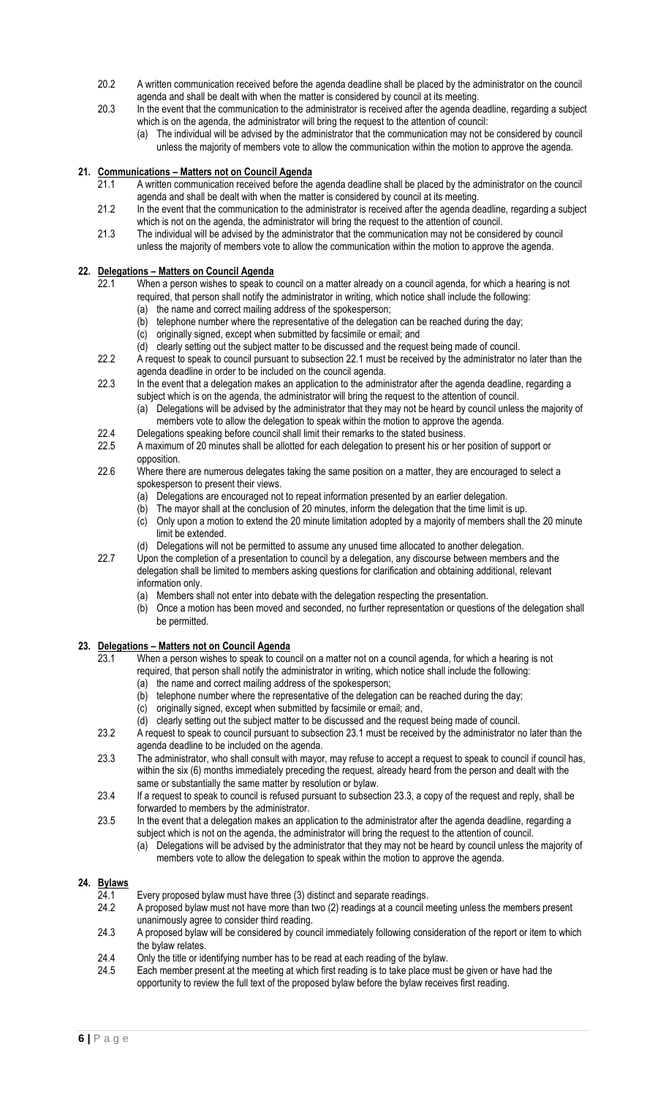- 20.2 A written communication received before the agenda deadline shall be placed by the administrator on the council agenda and shall be dealt with when the matter is considered by council at its meeting.
- 20.3 In the event that the communication to the administrator is received after the agenda deadline, regarding a subject which is on the agenda, the administrator will bring the request to the attention of council:
	- (a) The individual will be advised by the administrator that the communication may not be considered by council unless the majority of members vote to allow the communication within the motion to approve the agenda.

## <span id="page-5-0"></span>**21. Communications – Matters not on Council Agenda**

- 21.1 A written communication received before the agenda deadline shall be placed by the administrator on the council agenda and shall be dealt with when the matter is considered by council at its meeting.
- 21.2 In the event that the communication to the administrator is received after the agenda deadline, regarding a subject which is not on the agenda, the administrator will bring the request to the attention of council.
- 21.3 The individual will be advised by the administrator that the communication may not be considered by council unless the majority of members vote to allow the communication within the motion to approve the agenda.

## <span id="page-5-1"></span>**22. Delegations – Matters on Council Agenda**

- 22.1 When a person wishes to speak to council on a matter already on a council agenda, for which a hearing is not required, that person shall notify the administrator in writing, which notice shall include the following: (a) the name and correct mailing address of the spokesperson;
	- (b) telephone number where the representative of the delegation can be reached during the day;
	- (c) originally signed, except when submitted by facsimile or email; and
	- (d) clearly setting out the subject matter to be discussed and the request being made of council.
- 22.2 A request to speak to council pursuant to subsection 22.1 must be received by the administrator no later than the agenda deadline in order to be included on the council agenda.
- 22.3 In the event that a delegation makes an application to the administrator after the agenda deadline, regarding a subject which is on the agenda, the administrator will bring the request to the attention of council.
	- (a) Delegations will be advised by the administrator that they may not be heard by council unless the majority of members vote to allow the delegation to speak within the motion to approve the agenda.
- 22.4 Delegations speaking before council shall limit their remarks to the stated business.
- 22.5 A maximum of 20 minutes shall be allotted for each delegation to present his or her position of support or opposition.
- 22.6 Where there are numerous delegates taking the same position on a matter, they are encouraged to select a spokesperson to present their views.
	- (a) Delegations are encouraged not to repeat information presented by an earlier delegation.
	- (b) The mayor shall at the conclusion of 20 minutes, inform the delegation that the time limit is up.
	- (c) Only upon a motion to extend the 20 minute limitation adopted by a majority of members shall the 20 minute limit be extended.
	- (d) Delegations will not be permitted to assume any unused time allocated to another delegation.
- 22.7 Upon the completion of a presentation to council by a delegation, any discourse between members and the delegation shall be limited to members asking questions for clarification and obtaining additional, relevant information only.
	- (a) Members shall not enter into debate with the delegation respecting the presentation.
	- (b) Once a motion has been moved and seconded, no further representation or questions of the delegation shall be permitted.

## <span id="page-5-2"></span>**23. Delegations – Matters not on Council Agenda**

- 23.1 When a person wishes to speak to council on a matter not on a council agenda, for which a hearing is not required, that person shall notify the administrator in writing, which notice shall include the following:
	- (a) the name and correct mailing address of the spokesperson;
	- (b) telephone number where the representative of the delegation can be reached during the day;
	- (c) originally signed, except when submitted by facsimile or email; and,
	- (d) clearly setting out the subject matter to be discussed and the request being made of council.
- 23.2 A request to speak to council pursuant to subsection 23.1 must be received by the administrator no later than the agenda deadline to be included on the agenda.
- 23.3 The administrator, who shall consult with mayor, may refuse to accept a request to speak to council if council has, within the six (6) months immediately preceding the request, already heard from the person and dealt with the same or substantially the same matter by resolution or bylaw.
- 23.4 If a request to speak to council is refused pursuant to subsection 23.3, a copy of the request and reply, shall be forwarded to members by the administrator.
- 23.5 In the event that a delegation makes an application to the administrator after the agenda deadline, regarding a subject which is not on the agenda, the administrator will bring the request to the attention of council.
	- (a) Delegations will be advised by the administrator that they may not be heard by council unless the majority of members vote to allow the delegation to speak within the motion to approve the agenda.

## <span id="page-5-3"></span>**24. Bylaws**

- $\overline{24.1}$  Every proposed bylaw must have three (3) distinct and separate readings.<br>24.2 A proposed bylaw must not have more than two (2) readings at a council n
- A proposed bylaw must not have more than two (2) readings at a council meeting unless the members present unanimously agree to consider third reading.
- 24.3 A proposed bylaw will be considered by council immediately following consideration of the report or item to which the bylaw relates.
- 24.4 Only the title or identifying number has to be read at each reading of the bylaw.
- 24.5 Each member present at the meeting at which first reading is to take place must be given or have had the opportunity to review the full text of the proposed bylaw before the bylaw receives first reading.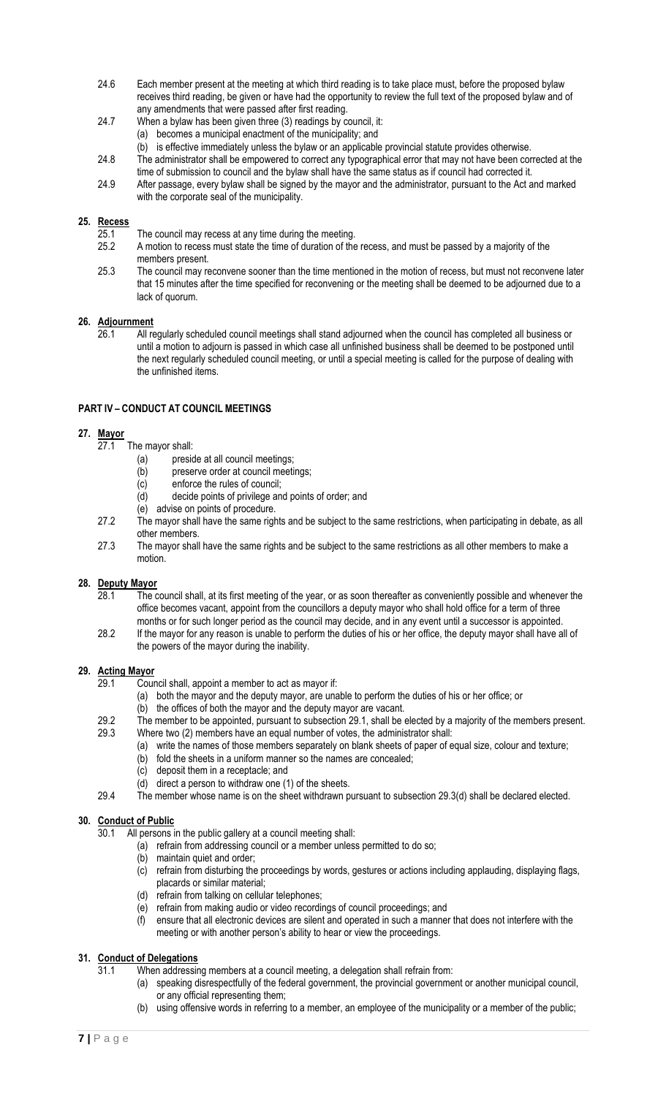- 24.6 Each member present at the meeting at which third reading is to take place must, before the proposed bylaw receives third reading, be given or have had the opportunity to review the full text of the proposed bylaw and of any amendments that were passed after first reading.
- 24.7 When a bylaw has been given three (3) readings by council, it:
	- (a) becomes a municipal enactment of the municipality; and
	- (b) is effective immediately unless the bylaw or an applicable provincial statute provides otherwise.
- 24.8 The administrator shall be empowered to correct any typographical error that may not have been corrected at the time of submission to council and the bylaw shall have the same status as if council had corrected it.
- 24.9 After passage, every bylaw shall be signed by the mayor and the administrator, pursuant to the Act and marked with the corporate seal of the municipality.

#### <span id="page-6-0"></span>**25. Recess**

- 25.1 The council may recess at any time during the meeting.<br>25.2 A motion to recess must state the time of duration of the
- A motion to recess must state the time of duration of the recess, and must be passed by a majority of the members present.
- 25.3 The council may reconvene sooner than the time mentioned in the motion of recess, but must not reconvene later that 15 minutes after the time specified for reconvening or the meeting shall be deemed to be adjourned due to a lack of quorum.

#### <span id="page-6-1"></span>**26. Adjournment**

26.1 All regularly scheduled council meetings shall stand adjourned when the council has completed all business or until a motion to adjourn is passed in which case all unfinished business shall be deemed to be postponed until the next regularly scheduled council meeting, or until a special meeting is called for the purpose of dealing with the unfinished items.

## <span id="page-6-2"></span>**PART IV – CONDUCT AT COUNCIL MEETINGS**

#### <span id="page-6-3"></span>**27. Mayor**

- 27.1 The mayor shall:
	- (a) preside at all council meetings;
	- (b) preserve order at council meetings;
	- (c) enforce the rules of council;
	- (d) decide points of privilege and points of order; and
	- (e) advise on points of procedure.
- 27.2 The mayor shall have the same rights and be subject to the same restrictions, when participating in debate, as all other members.
- 27.3 The mayor shall have the same rights and be subject to the same restrictions as all other members to make a motion.

## <span id="page-6-4"></span>**28. Deputy Mayor**

- 28.1 The council shall, at its first meeting of the year, or as soon thereafter as conveniently possible and whenever the office becomes vacant, appoint from the councillors a deputy mayor who shall hold office for a term of three months or for such longer period as the council may decide, and in any event until a successor is appointed.
- 28.2 If the mayor for any reason is unable to perform the duties of his or her office, the deputy mayor shall have all of the powers of the mayor during the inability.

#### <span id="page-6-5"></span>**29. Acting Mayor**

- 29.1 Council shall, appoint a member to act as mayor if:
	- (a) both the mayor and the deputy mayor, are unable to perform the duties of his or her office; or (b) the offices of both the mayor and the deputy mayor are vacant.
- 29.2 The member to be appointed, pursuant to subsection 29.1, shall be elected by a majority of the members present. 29.3 Where two (2) members have an equal number of votes, the administrator shall:
	- (a) write the names of those members separately on blank sheets of paper of equal size, colour and texture;
		- (b) fold the sheets in a uniform manner so the names are concealed;
		- (c) deposit them in a receptacle; and
		- (d) direct a person to withdraw one (1) of the sheets.
- 29.4 The member whose name is on the sheet withdrawn pursuant to subsection 29.3(d) shall be declared elected.

## <span id="page-6-6"></span>**30. Conduct of Public**

30.1 All persons in the public gallery at a council meeting shall:

- (a) refrain from addressing council or a member unless permitted to do so;
- (b) maintain quiet and order;
- (c) refrain from disturbing the proceedings by words, gestures or actions including applauding, displaying flags, placards or similar material;
- (d) refrain from talking on cellular telephones;
- (e) refrain from making audio or video recordings of council proceedings; and
- (f) ensure that all electronic devices are silent and operated in such a manner that does not interfere with the meeting or with another person's ability to hear or view the proceedings.

#### <span id="page-6-7"></span>**31. Conduct of Delegations**

31.1 When addressing members at a council meeting, a delegation shall refrain from:

- (a) speaking disrespectfully of the federal government, the provincial government or another municipal council, or any official representing them;
- (b) using offensive words in referring to a member, an employee of the municipality or a member of the public;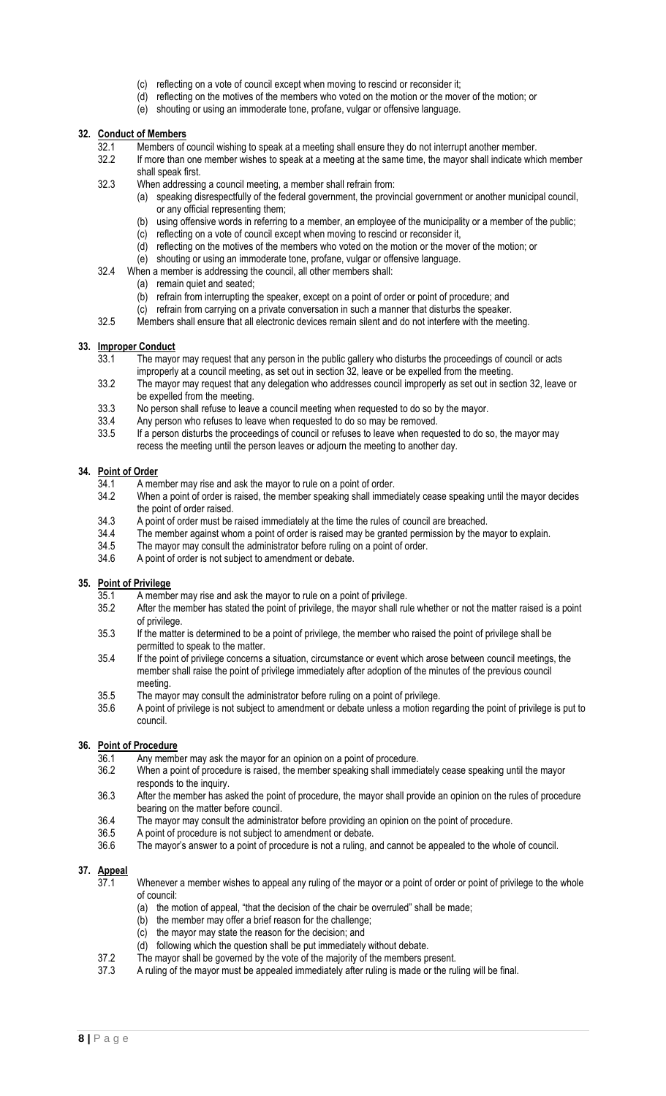- (c) reflecting on a vote of council except when moving to rescind or reconsider it;
- (d) reflecting on the motives of the members who voted on the motion or the mover of the motion; or
- (e) shouting or using an immoderate tone, profane, vulgar or offensive language.

#### <span id="page-7-0"></span>**32. Conduct of Members**

- 32.1 Members of council wishing to speak at a meeting shall ensure they do not interrupt another member.<br>32.2 If more than one member wishes to speak at a meeting at the same time, the mayor shall indicate whi
- If more than one member wishes to speak at a meeting at the same time, the mayor shall indicate which member shall speak first.
- 32.3 When addressing a council meeting, a member shall refrain from:
	- (a) speaking disrespectfully of the federal government, the provincial government or another municipal council, or any official representing them;
		- (b) using offensive words in referring to a member, an employee of the municipality or a member of the public;
		- (c) reflecting on a vote of council except when moving to rescind or reconsider it,
	- (d) reflecting on the motives of the members who voted on the motion or the mover of the motion; or
	- (e) shouting or using an immoderate tone, profane, vulgar or offensive language.
- 32.4 When a member is addressing the council, all other members shall:
	- (a) remain quiet and seated;
		- (b) refrain from interrupting the speaker, except on a point of order or point of procedure; and
		- (c) refrain from carrying on a private conversation in such a manner that disturbs the speaker.
- 32.5 Members shall ensure that all electronic devices remain silent and do not interfere with the meeting.

#### <span id="page-7-1"></span>**33. Improper Conduct**

- 33.1 The mayor may request that any person in the public gallery who disturbs the proceedings of council or acts improperly at a council meeting, as set out in section 32, leave or be expelled from the meeting.
- 33.2 The mayor may request that any delegation who addresses council improperly as set out in section 32, leave or be expelled from the meeting.
- 33.3 No person shall refuse to leave a council meeting when requested to do so by the mayor.<br>33.4 Any person who refuses to leave when requested to do so may be removed.
- Any person who refuses to leave when requested to do so may be removed.
- 33.5 If a person disturbs the proceedings of council or refuses to leave when requested to do so, the mayor may recess the meeting until the person leaves or adjourn the meeting to another day.

#### <span id="page-7-2"></span>**34. Point of Order**

- 34.1 A member may rise and ask the mayor to rule on a point of order.
- 34.2 When a point of order is raised, the member speaking shall immediately cease speaking until the mayor decides the point of order raised.
- 34.3 A point of order must be raised immediately at the time the rules of council are breached.<br>34.4 The member against whom a point of order is raised may be granted permission by the m
- 34.4 The member against whom a point of order is raised may be granted permission by the mayor to explain.<br>34.5 The mayor may consult the administrator before ruling on a point of order.
- The mayor may consult the administrator before ruling on a point of order.
- 34.6 A point of order is not subject to amendment or debate.

#### <span id="page-7-3"></span>**35. Point of Privilege**

- 35.1 A member may rise and ask the mayor to rule on a point of privilege.
- 35.2 After the member has stated the point of privilege, the mayor shall rule whether or not the matter raised is a point of privilege.
- 35.3 If the matter is determined to be a point of privilege, the member who raised the point of privilege shall be permitted to speak to the matter.
- 35.4 If the point of privilege concerns a situation, circumstance or event which arose between council meetings, the member shall raise the point of privilege immediately after adoption of the minutes of the previous council meeting.
- 35.5 The mayor may consult the administrator before ruling on a point of privilege.
- 35.6 A point of privilege is not subject to amendment or debate unless a motion regarding the point of privilege is put to council.

#### <span id="page-7-4"></span>**36. Point of Procedure**

- 36.1 Any member may ask the mayor for an opinion on a point of procedure.
- 36.2 When a point of procedure is raised, the member speaking shall immediately cease speaking until the mayor responds to the inquiry.
- 36.3 After the member has asked the point of procedure, the mayor shall provide an opinion on the rules of procedure bearing on the matter before council.
- 36.4 The mayor may consult the administrator before providing an opinion on the point of procedure.<br>36.5 A point of procedure is not subject to amendment or debate.
- A point of procedure is not subject to amendment or debate.
- 36.6 The mayor's answer to a point of procedure is not a ruling, and cannot be appealed to the whole of council.

## <span id="page-7-5"></span>**37. Appeal**

- 37.1 Whenever a member wishes to appeal any ruling of the mayor or a point of order or point of privilege to the whole of council:
	- (a) the motion of appeal, "that the decision of the chair be overruled" shall be made;
	- (b) the member may offer a brief reason for the challenge;
	- (c) the mayor may state the reason for the decision; and
	- (d) following which the question shall be put immediately without debate.
- 37.2 The mayor shall be governed by the vote of the majority of the members present.
- 37.3 A ruling of the mayor must be appealed immediately after ruling is made or the ruling will be final.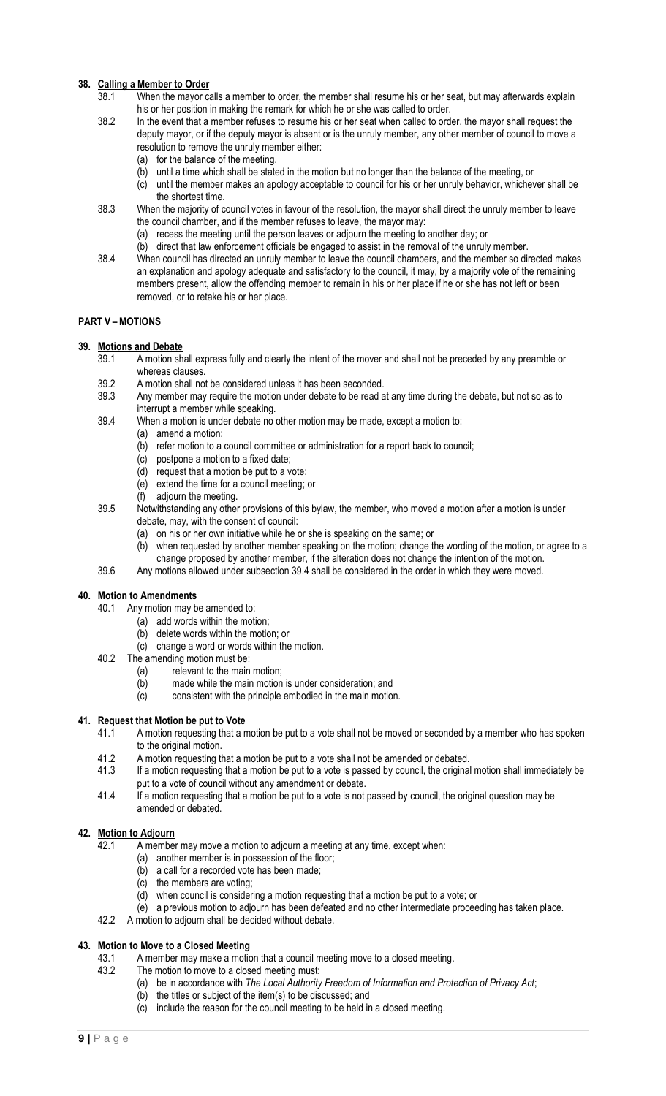## <span id="page-8-0"></span>**38. Calling a Member to Order**

- 38.1 When the mayor calls a member to order, the member shall resume his or her seat, but may afterwards explain his or her position in making the remark for which he or she was called to order.
- 38.2 In the event that a member refuses to resume his or her seat when called to order, the mayor shall request the deputy mayor, or if the deputy mayor is absent or is the unruly member, any other member of council to move a resolution to remove the unruly member either:
	- (a) for the balance of the meeting,
	- (b) until a time which shall be stated in the motion but no longer than the balance of the meeting, or
	- (c) until the member makes an apology acceptable to council for his or her unruly behavior, whichever shall be the shortest time.
- 38.3 When the majority of council votes in favour of the resolution, the mayor shall direct the unruly member to leave the council chamber, and if the member refuses to leave, the mayor may:
	- (a) recess the meeting until the person leaves or adjourn the meeting to another day; or
	- (b) direct that law enforcement officials be engaged to assist in the removal of the unruly member.
- 38.4 When council has directed an unruly member to leave the council chambers, and the member so directed makes an explanation and apology adequate and satisfactory to the council, it may, by a majority vote of the remaining members present, allow the offending member to remain in his or her place if he or she has not left or been removed, or to retake his or her place.

## <span id="page-8-1"></span>**PART V – MOTIONS**

## <span id="page-8-2"></span>**39. Motions and Debate**

- 39.1 A motion shall express fully and clearly the intent of the mover and shall not be preceded by any preamble or whereas clauses.
	- 39.2 A motion shall not be considered unless it has been seconded.
	- 39.3 Any member may require the motion under debate to be read at any time during the debate, but not so as to interrupt a member while speaking.
	- 39.4 When a motion is under debate no other motion may be made, except a motion to:
		- (a) amend a motion;
		- (b) refer motion to a council committee or administration for a report back to council;
		- (c) postpone a motion to a fixed date;
		- (d) request that a motion be put to a vote;
		- (e) extend the time for a council meeting; or
		- (f) adjourn the meeting.
	- 39.5 Notwithstanding any other provisions of this bylaw, the member, who moved a motion after a motion is under debate, may, with the consent of council:
		- (a) on his or her own initiative while he or she is speaking on the same; or
		- (b) when requested by another member speaking on the motion; change the wording of the motion, or agree to a change proposed by another member, if the alteration does not change the intention of the motion.
	- 39.6 Any motions allowed under subsection 39.4 shall be considered in the order in which they were moved.

#### <span id="page-8-3"></span>**40. Motion to Amendments**

- 40.1 Any motion may be amended to:
	- (a) add words within the motion;
	- (b) delete words within the motion; or
	- (c) change a word or words within the motion.
- 40.2 The amending motion must be:
	- (a) relevant to the main motion;
	- (b) made while the main motion is under consideration; and
	- (c) consistent with the principle embodied in the main motion.

## <span id="page-8-4"></span>**41. Request that Motion be put to Vote**

- 41.1 A motion requesting that a motion be put to a vote shall not be moved or seconded by a member who has spoken to the original motion.
- 41.2 A motion requesting that a motion be put to a vote shall not be amended or debated.
- 41.3 If a motion requesting that a motion be put to a vote is passed by council, the original motion shall immediately be put to a vote of council without any amendment or debate.
- 41.4 If a motion requesting that a motion be put to a vote is not passed by council, the original question may be amended or debated.

## <span id="page-8-5"></span>**42. Motion to Adjourn**

- 42.1 A member may move a motion to adjourn a meeting at any time, except when:
	- (a) another member is in possession of the floor;
	- (b) a call for a recorded vote has been made;
	- (c) the members are voting;
	- (d) when council is considering a motion requesting that a motion be put to a vote; or
	- (e) a previous motion to adjourn has been defeated and no other intermediate proceeding has taken place.
- 42.2 A motion to adjourn shall be decided without debate.

# <span id="page-8-6"></span>**43. Motion to Move to a Closed Meeting**

- 43.1 A member may make a motion that a council meeting move to a closed meeting.<br>43.2 The motion to move to a closed meeting must:
	- The motion to move to a closed meeting must:
		- (a) be in accordance with *The Local Authority Freedom of Information and Protection of Privacy Act*;
		- (b) the titles or subject of the item(s) to be discussed; and
		- (c) include the reason for the council meeting to be held in a closed meeting.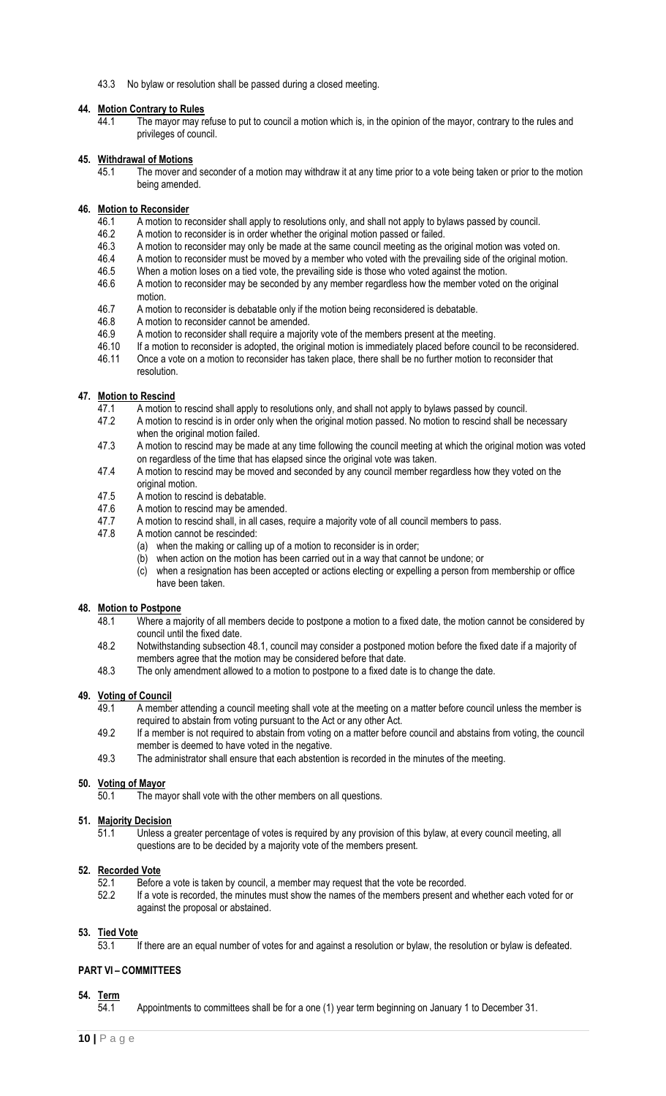43.3 No bylaw or resolution shall be passed during a closed meeting.

#### <span id="page-9-0"></span>**44. Motion Contrary to Rules**

44.1 The mayor may refuse to put to council a motion which is, in the opinion of the mayor, contrary to the rules and privileges of council.

#### <span id="page-9-1"></span>**45. Withdrawal of Motions**

 $\overline{45.1}$  The mover and seconder of a motion may withdraw it at any time prior to a vote being taken or prior to the motion being amended.

#### <span id="page-9-2"></span>**46. Motion to Reconsider**

- 46.1 A motion to reconsider shall apply to resolutions only, and shall not apply to bylaws passed by council.
- 46.2 A motion to reconsider is in order whether the original motion passed or failed.<br>46.3 A motion to reconsider may only be made at the same council meeting as the q
- A motion to reconsider may only be made at the same council meeting as the original motion was voted on.
- 46.4 A motion to reconsider must be moved by a member who voted with the prevailing side of the original motion.<br>46.5 When a motion loses on a tied vote, the prevailing side is those who voted against the motion.
- When a motion loses on a tied vote, the prevailing side is those who voted against the motion.
- 46.6 A motion to reconsider may be seconded by any member regardless how the member voted on the original motion.
- 46.7 A motion to reconsider is debatable only if the motion being reconsidered is debatable.
- 46.8 A motion to reconsider cannot be amended.
- 46.9 A motion to reconsider shall require a majority vote of the members present at the meeting.
- 46.10 If a motion to reconsider is adopted, the original motion is immediately placed before council to be reconsidered.
- 46.11 Once a vote on a motion to reconsider has taken place, there shall be no further motion to reconsider that resolution.

## <span id="page-9-3"></span>**47. Motion to Rescind**

- 47.1 A motion to rescind shall apply to resolutions only, and shall not apply to bylaws passed by council.<br>47.2 A motion to rescind is in order only when the original motion passed. No motion to rescind shall be i
- A motion to rescind is in order only when the original motion passed. No motion to rescind shall be necessary when the original motion failed.
- 47.3 A motion to rescind may be made at any time following the council meeting at which the original motion was voted on regardless of the time that has elapsed since the original vote was taken.
- 47.4 A motion to rescind may be moved and seconded by any council member regardless how they voted on the original motion.
- 47.5 A motion to rescind is debatable.
- 47.6 A motion to rescind may be amended.
- 47.7 A motion to rescind shall, in all cases, require a majority vote of all council members to pass.<br>47.8 A motion cannot be rescinded:
- A motion cannot be rescinded:
	- (a) when the making or calling up of a motion to reconsider is in order;
	- (b) when action on the motion has been carried out in a way that cannot be undone; or
	- (c) when a resignation has been accepted or actions electing or expelling a person from membership or office have been taken.

#### <span id="page-9-4"></span>**48. Motion to Postpone**

- 48.1 Where a majority of all members decide to postpone a motion to a fixed date, the motion cannot be considered by council until the fixed date.
- 48.2 Notwithstanding subsection 48.1, council may consider a postponed motion before the fixed date if a majority of members agree that the motion may be considered before that date.
- 48.3 The only amendment allowed to a motion to postpone to a fixed date is to change the date.

#### <span id="page-9-5"></span>**49. Voting of Council**

- 49.1 A member attending a council meeting shall vote at the meeting on a matter before council unless the member is required to abstain from voting pursuant to the Act or any other Act.
- 49.2 If a member is not required to abstain from voting on a matter before council and abstains from voting, the council member is deemed to have voted in the negative.
- 49.3 The administrator shall ensure that each abstention is recorded in the minutes of the meeting.

## <span id="page-9-6"></span>**50. Voting of Mayor**

50.1 The mayor shall vote with the other members on all questions.

#### <span id="page-9-7"></span>**51. Majority Decision**

51.1 Unless a greater percentage of votes is required by any provision of this bylaw, at every council meeting, all questions are to be decided by a majority vote of the members present.

## <span id="page-9-8"></span>**52. Recorded Vote**

- 52.1 Before a vote is taken by council, a member may request that the vote be recorded.
- 52.2 If a vote is recorded, the minutes must show the names of the members present and whether each voted for or against the proposal or abstained.

#### <span id="page-9-9"></span>**53. Tied Vote**

53.1 If there are an equal number of votes for and against a resolution or bylaw, the resolution or bylaw is defeated.

## <span id="page-9-10"></span>**PART VI – COMMITTEES**

#### <span id="page-9-11"></span>**54. Term**

54.1 Appointments to committees shall be for a one (1) year term beginning on January 1 to December 31.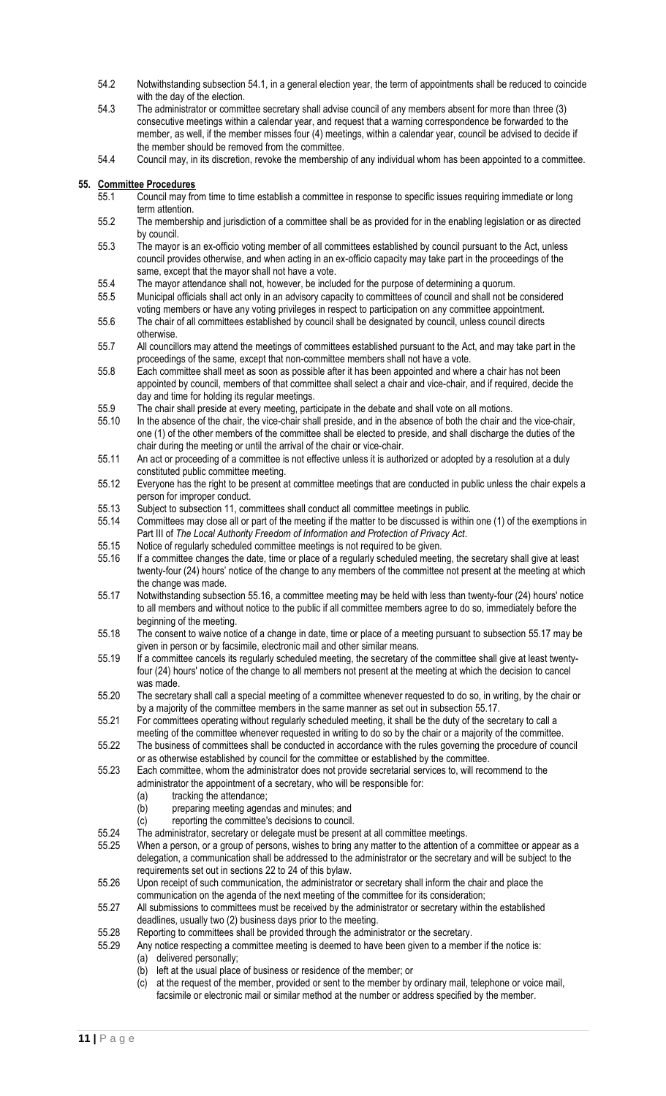- 54.2 Notwithstanding subsection 54.1, in a general election year, the term of appointments shall be reduced to coincide with the day of the election.
- 54.3 The administrator or committee secretary shall advise council of any members absent for more than three (3) consecutive meetings within a calendar year, and request that a warning correspondence be forwarded to the member, as well, if the member misses four (4) meetings, within a calendar year, council be advised to decide if the member should be removed from the committee.
- 54.4 Council may, in its discretion, revoke the membership of any individual whom has been appointed to a committee.

#### <span id="page-10-0"></span>**55. Committee Procedures**

- 55.1 Council may from time to time establish a committee in response to specific issues requiring immediate or long term attention.
- 55.2 The membership and jurisdiction of a committee shall be as provided for in the enabling legislation or as directed by council.
- 55.3 The mayor is an ex-officio voting member of all committees established by council pursuant to the Act, unless council provides otherwise, and when acting in an ex-officio capacity may take part in the proceedings of the same, except that the mayor shall not have a vote.
- 55.4 The mayor attendance shall not, however, be included for the purpose of determining a quorum.
- 55.5 Municipal officials shall act only in an advisory capacity to committees of council and shall not be considered voting members or have any voting privileges in respect to participation on any committee appointment.
- 55.6 The chair of all committees established by council shall be designated by council, unless council directs otherwise.
- 55.7 All councillors may attend the meetings of committees established pursuant to the Act, and may take part in the proceedings of the same, except that non-committee members shall not have a vote.
- 55.8 Each committee shall meet as soon as possible after it has been appointed and where a chair has not been appointed by council, members of that committee shall select a chair and vice-chair, and if required, decide the day and time for holding its regular meetings.
- 55.9 The chair shall preside at every meeting, participate in the debate and shall vote on all motions.<br>55.10 In the absence of the chair, the vice-chair shall preside, and in the absence of both the chair an
- In the absence of the chair, the vice-chair shall preside, and in the absence of both the chair and the vice-chair, one (1) of the other members of the committee shall be elected to preside, and shall discharge the duties of the chair during the meeting or until the arrival of the chair or vice-chair.
- 55.11 An act or proceeding of a committee is not effective unless it is authorized or adopted by a resolution at a duly constituted public committee meeting.
- 55.12 Everyone has the right to be present at committee meetings that are conducted in public unless the chair expels a person for improper conduct.
- 55.13 Subject to subsection 11, committees shall conduct all committee meetings in public.
- 55.14 Committees may close all or part of the meeting if the matter to be discussed is within one (1) of the exemptions in Part III of *The Local Authority Freedom of Information and Protection of Privacy Act*.
- 55.15 Notice of regularly scheduled committee meetings is not required to be given.
- 55.16 If a committee changes the date, time or place of a regularly scheduled meeting, the secretary shall give at least twenty-four (24) hours' notice of the change to any members of the committee not present at the meeting at which the change was made.
- 55.17 Notwithstanding subsection 55.16, a committee meeting may be held with less than twenty-four (24) hours' notice to all members and without notice to the public if all committee members agree to do so, immediately before the beginning of the meeting.
- 55.18 The consent to waive notice of a change in date, time or place of a meeting pursuant to subsection 55.17 may be given in person or by facsimile, electronic mail and other similar means.
- 55.19 If a committee cancels its regularly scheduled meeting, the secretary of the committee shall give at least twentyfour (24) hours' notice of the change to all members not present at the meeting at which the decision to cancel was made.
- 55.20 The secretary shall call a special meeting of a committee whenever requested to do so, in writing, by the chair or by a majority of the committee members in the same manner as set out in subsection 55.17.
- 55.21 For committees operating without regularly scheduled meeting, it shall be the duty of the secretary to call a
- meeting of the committee whenever requested in writing to do so by the chair or a majority of the committee. 55.22 The business of committees shall be conducted in accordance with the rules governing the procedure of council or as otherwise established by council for the committee or established by the committee.
- 55.23 Each committee, whom the administrator does not provide secretarial services to, will recommend to the administrator the appointment of a secretary, who will be responsible for:
	- (a) tracking the attendance;
	- (b) preparing meeting agendas and minutes; and
	- (c) reporting the committee's decisions to council.
- 55.24 The administrator, secretary or delegate must be present at all committee meetings.
- 55.25 When a person, or a group of persons, wishes to bring any matter to the attention of a committee or appear as a delegation, a communication shall be addressed to the administrator or the secretary and will be subject to the requirements set out in sections 22 to 24 of this bylaw.
- 55.26 Upon receipt of such communication, the administrator or secretary shall inform the chair and place the communication on the agenda of the next meeting of the committee for its consideration;
- 55.27 All submissions to committees must be received by the administrator or secretary within the established deadlines, usually two (2) business days prior to the meeting.
- 55.28 Reporting to committees shall be provided through the administrator or the secretary.
- 55.29 Any notice respecting a committee meeting is deemed to have been given to a member if the notice is: (a) delivered personally;
	- (b) left at the usual place of business or residence of the member; or
	- (c) at the request of the member, provided or sent to the member by ordinary mail, telephone or voice mail, facsimile or electronic mail or similar method at the number or address specified by the member.